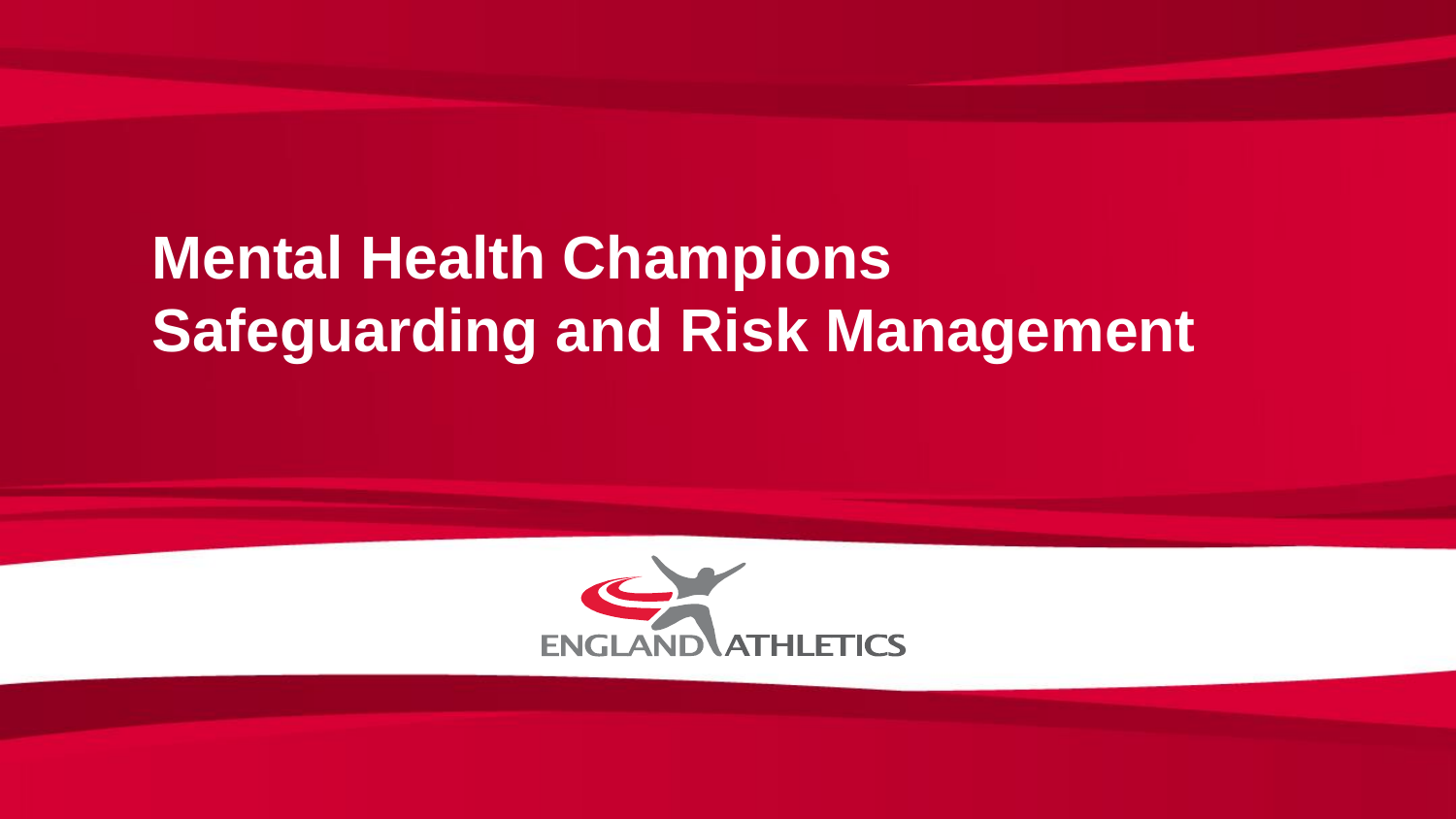## **Mental Health Champions Safeguarding and Risk Management**

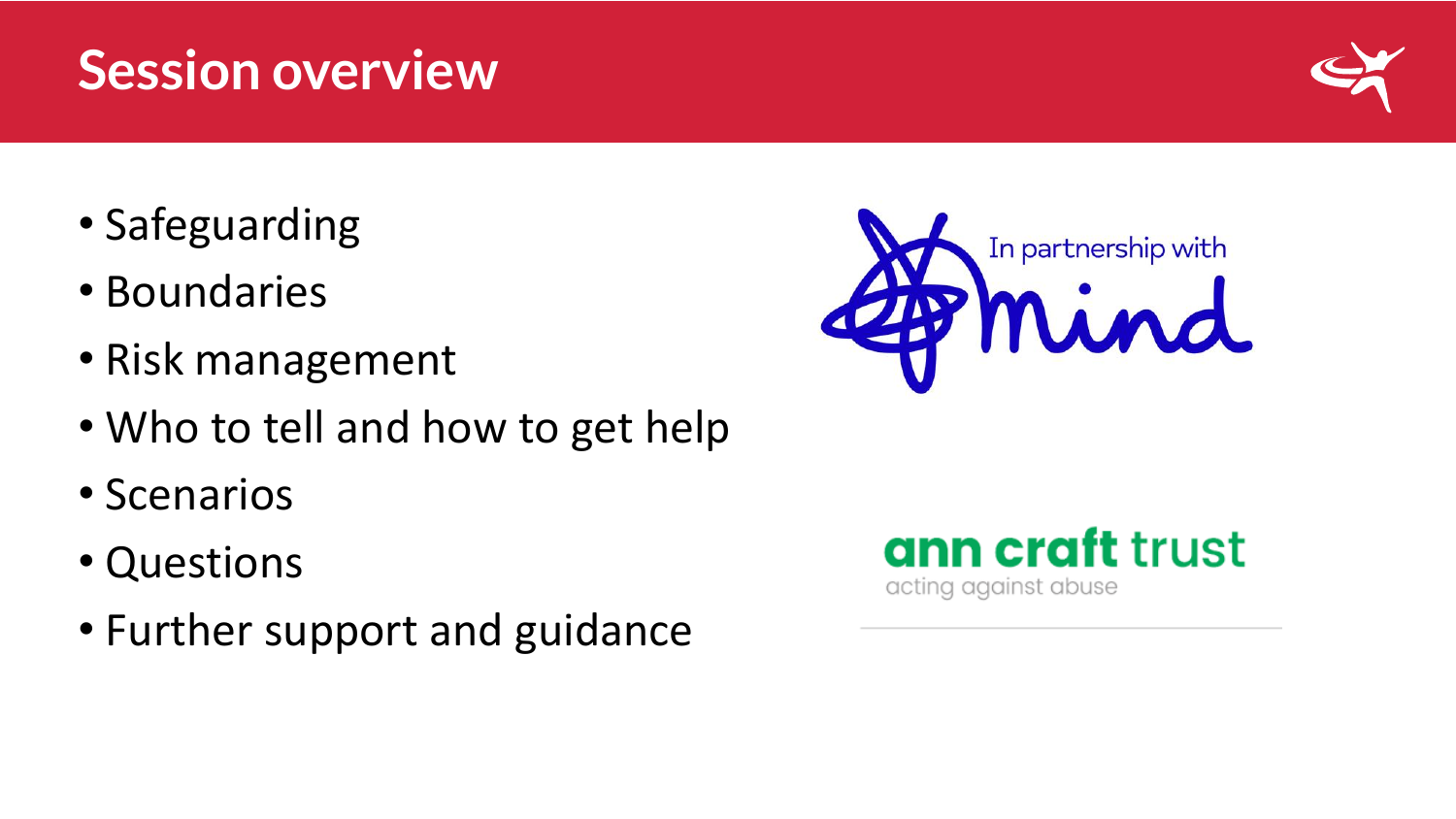#### • Safeguarding

- Boundaries
- Risk management
- Who to tell and how to get help
- Scenarios
- Questions
- Further support and guidance







## **Session overview**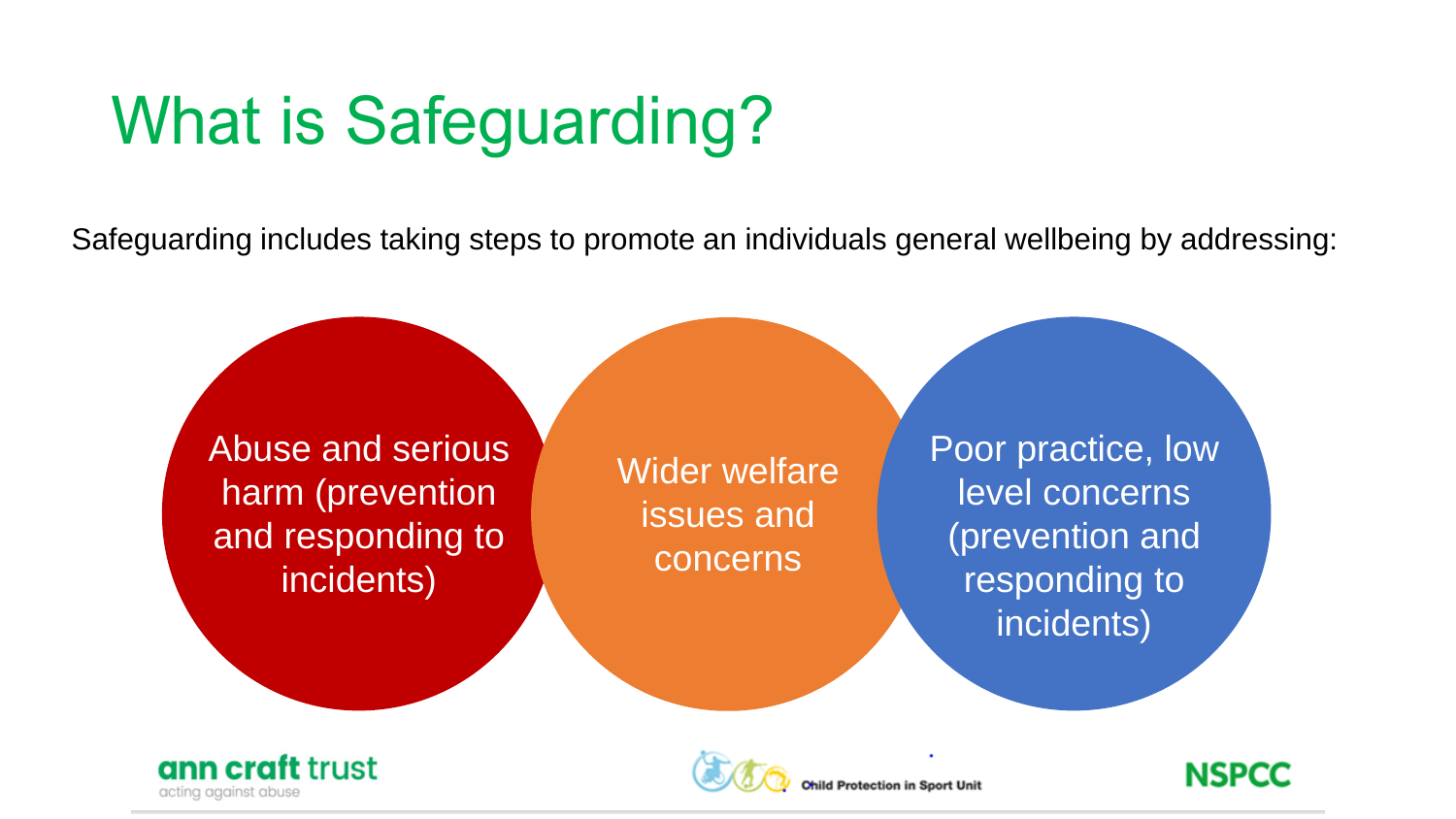# What is Safeguarding?

Safeguarding includes taking steps to promote an individuals general wellbeing by addressing:







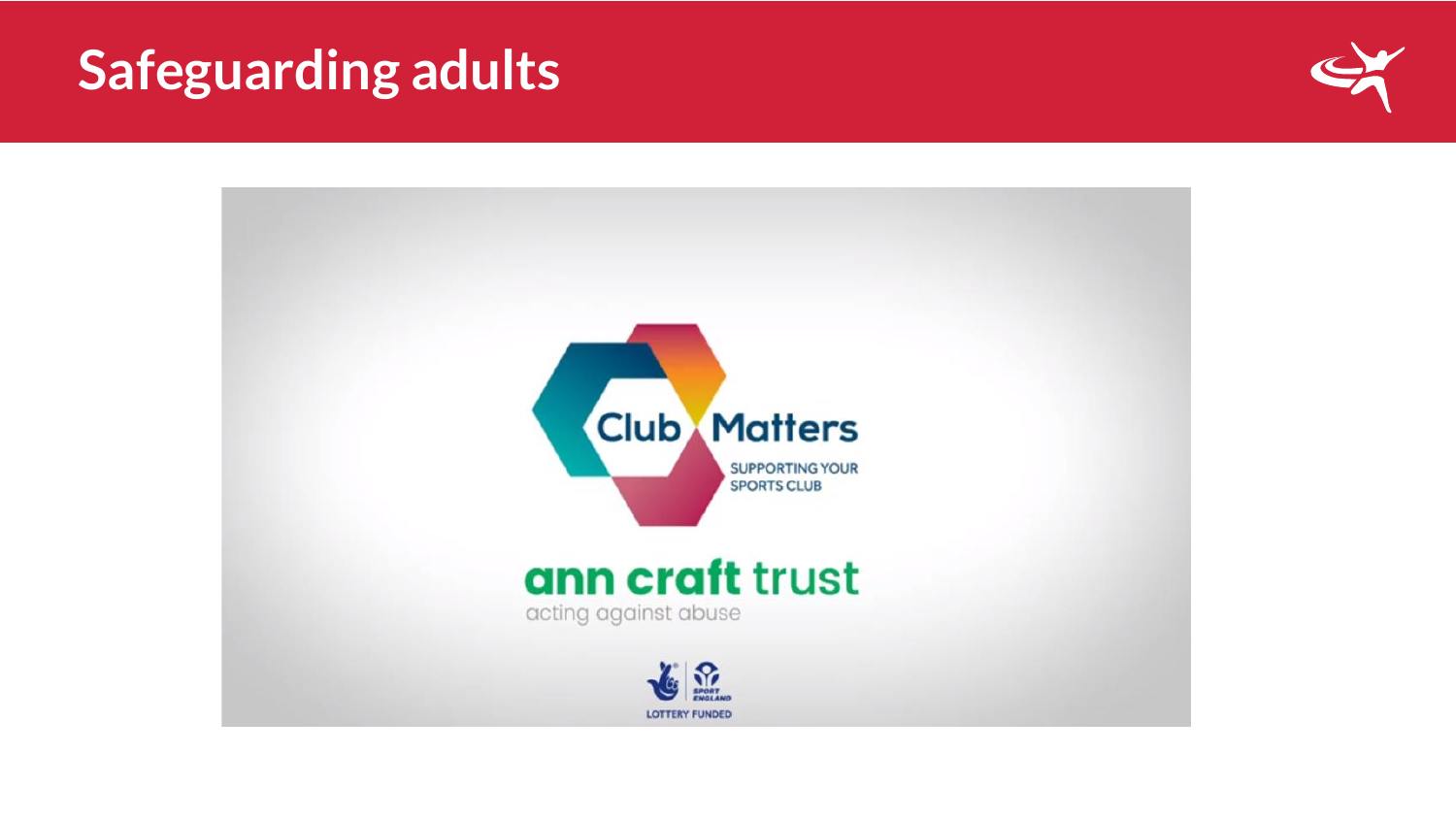#### **Safeguarding adults**



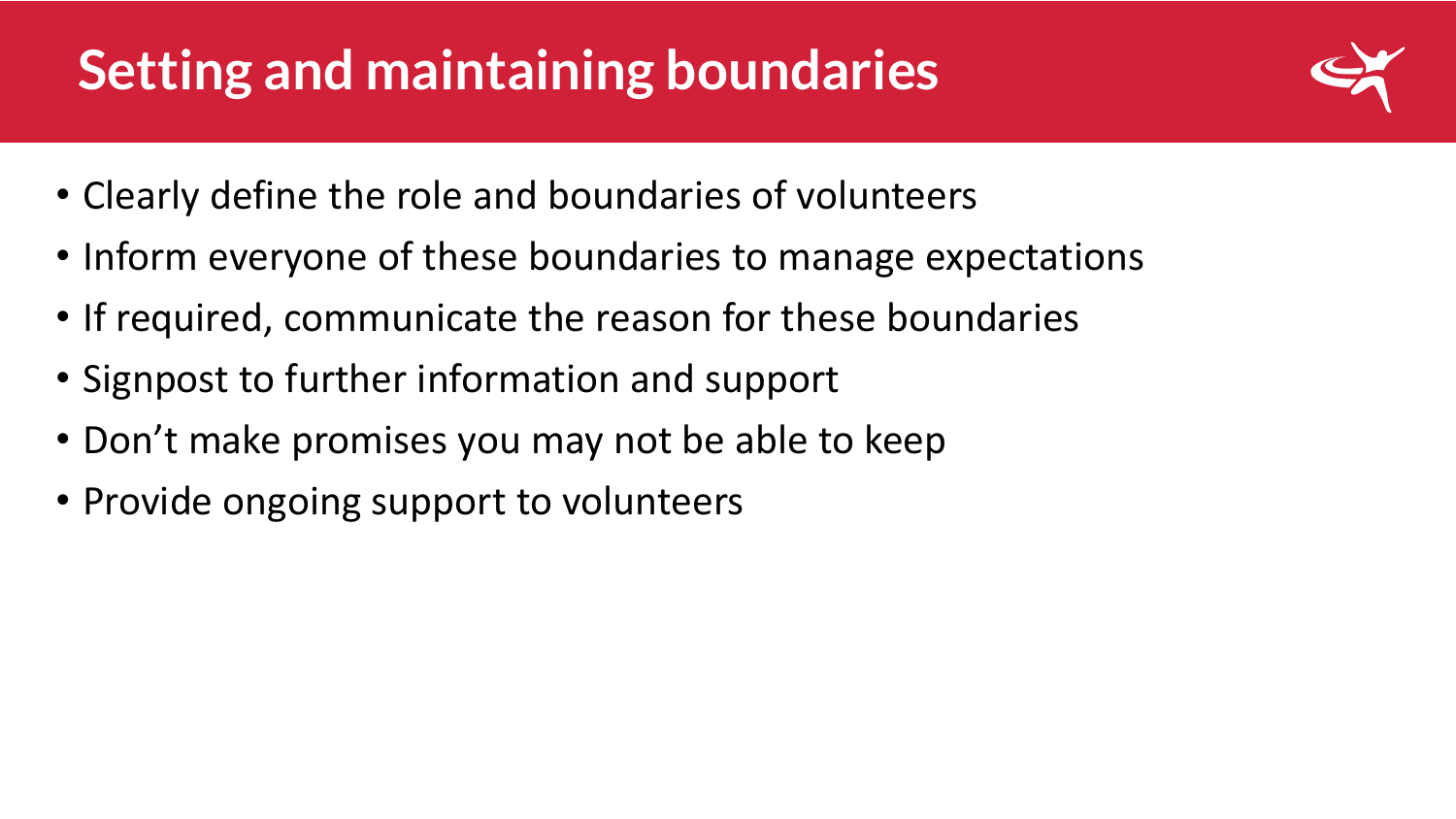## **Setting and maintaining boundaries**



- Clearly define the role and boundaries of volunteers
- Inform everyone of these boundaries to manage expectations
- If required, communicate the reason for these boundaries
- Signpost to further information and support
- Don't make promises you may not be able to keep
- Provide ongoing support to volunteers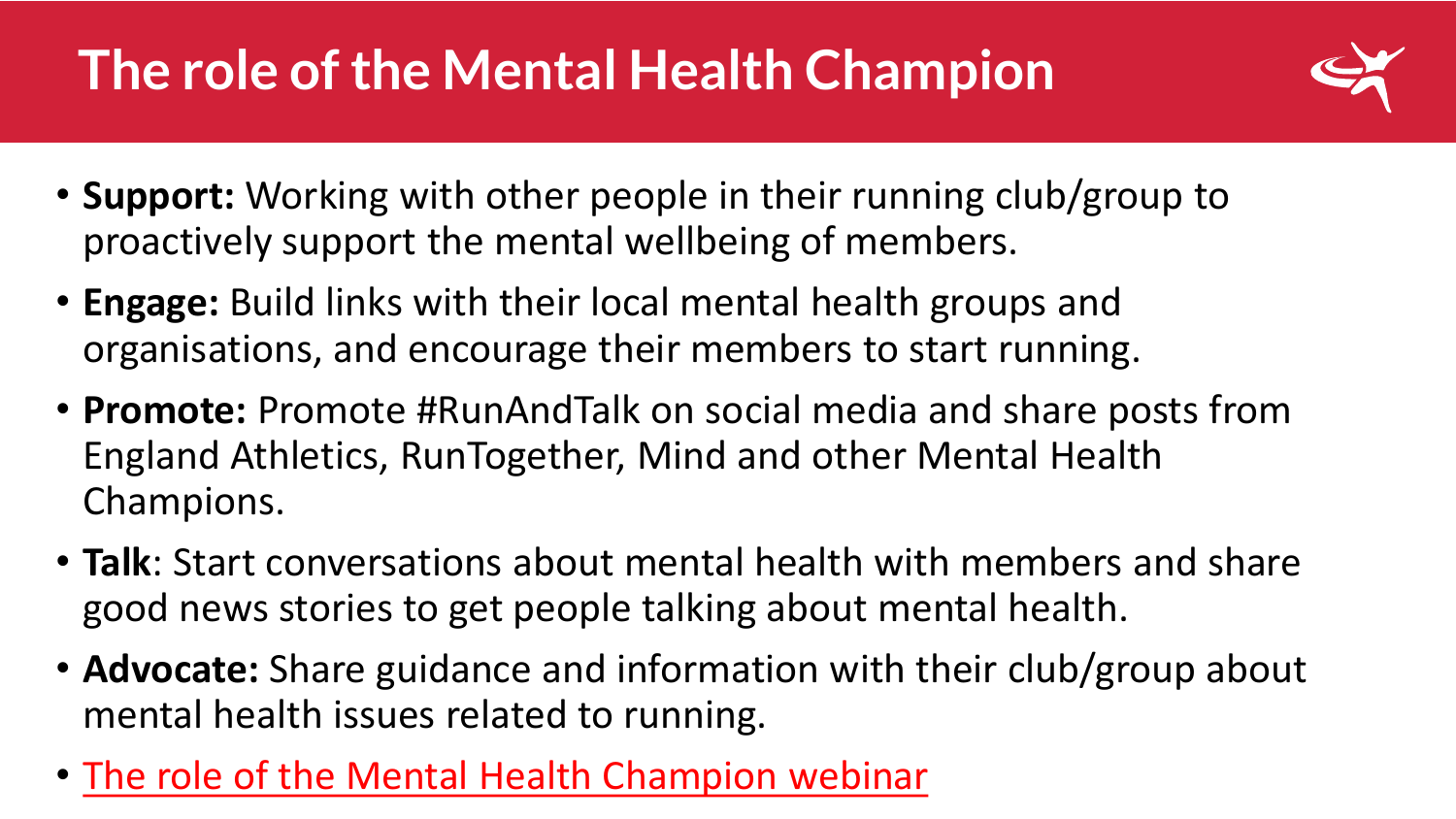## **The role of the Mental Health Champion**



- **Support:** Working with other people in their running club/group to proactively support the mental wellbeing of members.
- **Engage:** Build links with their local mental health groups and organisations, and encourage their members to start running.
- **Promote:** Promote #RunAndTalk on social media and share posts from England Athletics, RunTogether, Mind and other Mental Health Champions.
- **Talk**: Start conversations about mental health with members and share good news stories to get people talking about mental health.
- **Advocate:** Share guidance and information with their club/group about mental health issues related to running.
- [The role of the Mental Health Champion webinar](https://englandathletics-my.sharepoint.com/:v:/g/personal/lpurbrick_englandathletics_org/ER13V3xbboZHlgLrDyIqnucBkkKO86wYMAkf8ae7s9_a9w?e=HLTrXE)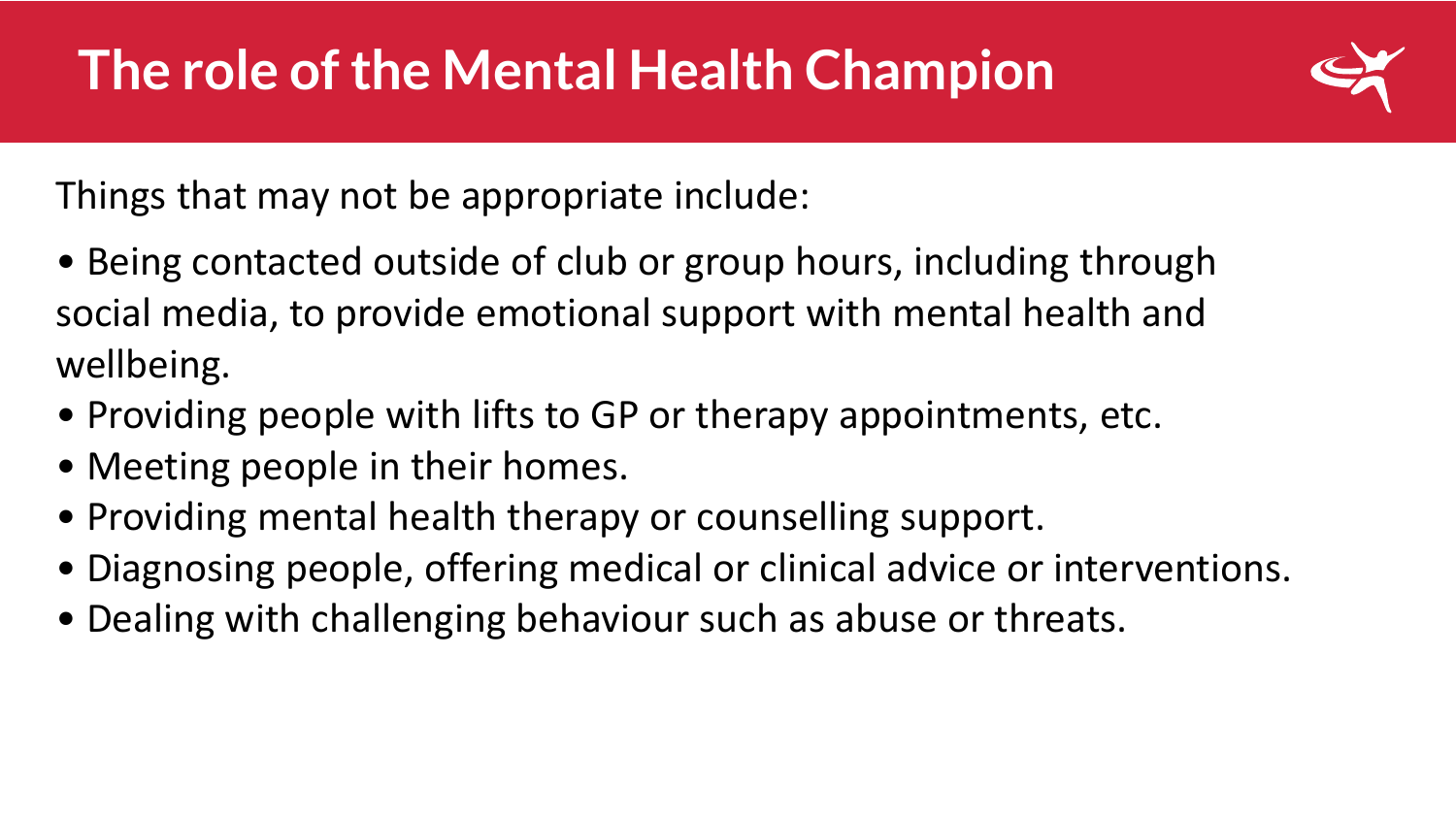

Things that may not be appropriate include:

- Being contacted outside of club or group hours, including through social media, to provide emotional support with mental health and wellbeing.
- Providing people with lifts to GP or therapy appointments, etc.
- Meeting people in their homes.
- Providing mental health therapy or counselling support.
- Diagnosing people, offering medical or clinical advice or interventions.
- Dealing with challenging behaviour such as abuse or threats.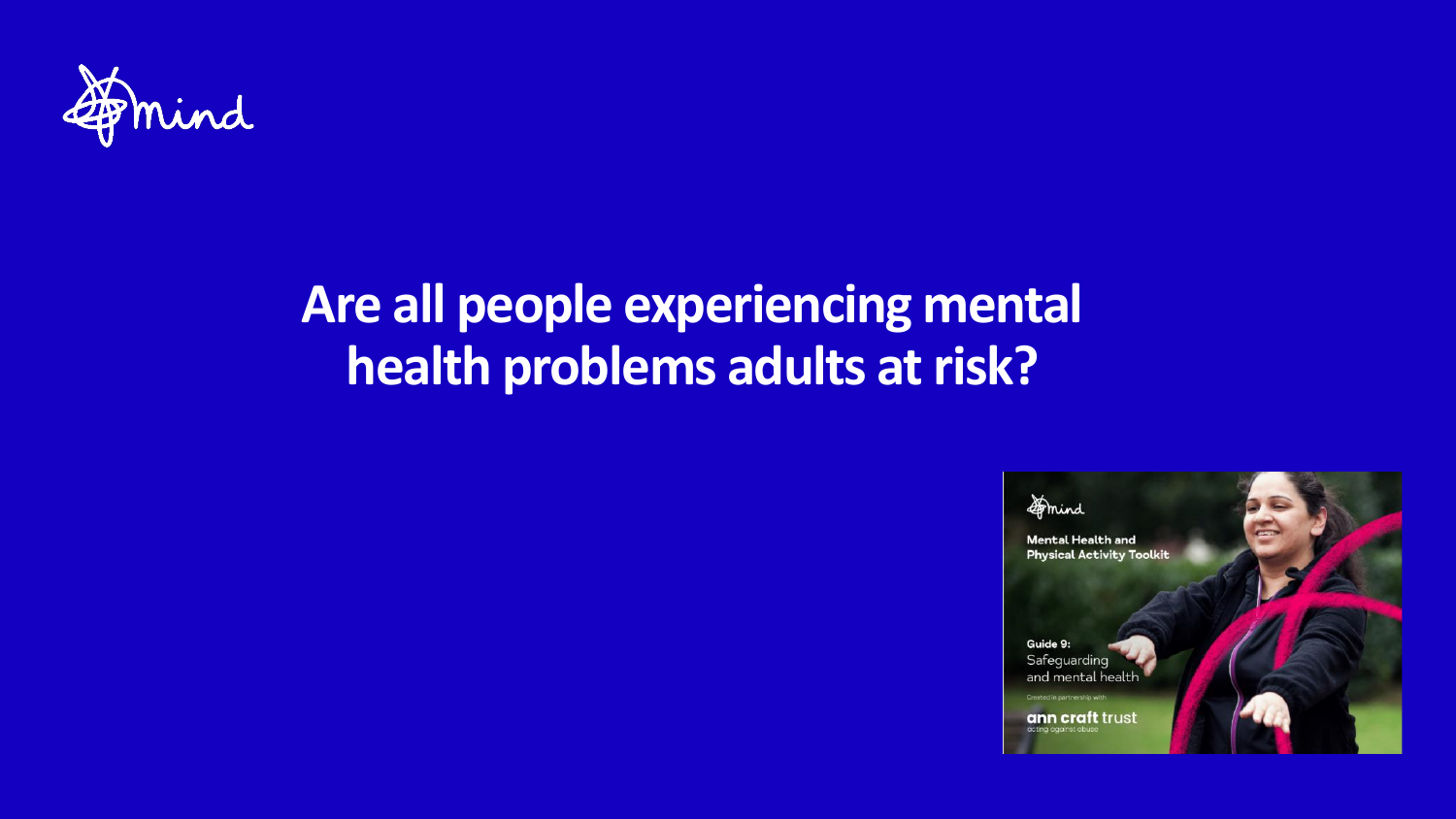

#### **Are all people experiencing mental health problems adults at risk?**

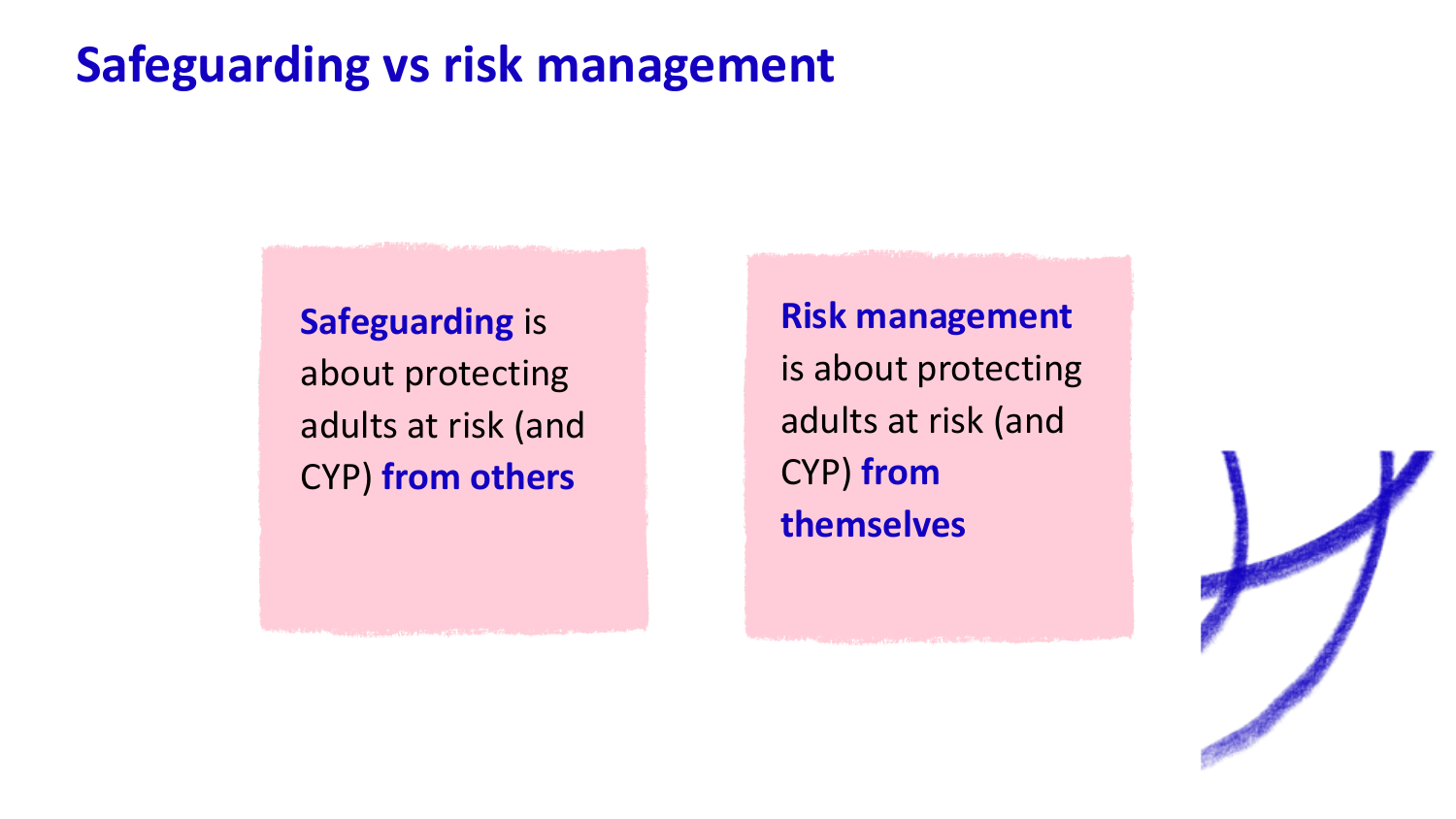#### **Safeguarding vs risk management**

**Safeguarding** is about protecting adults at risk (and CYP) **from others**

**Risk management**  is about protecting adults at risk (and CYP) **from themselves**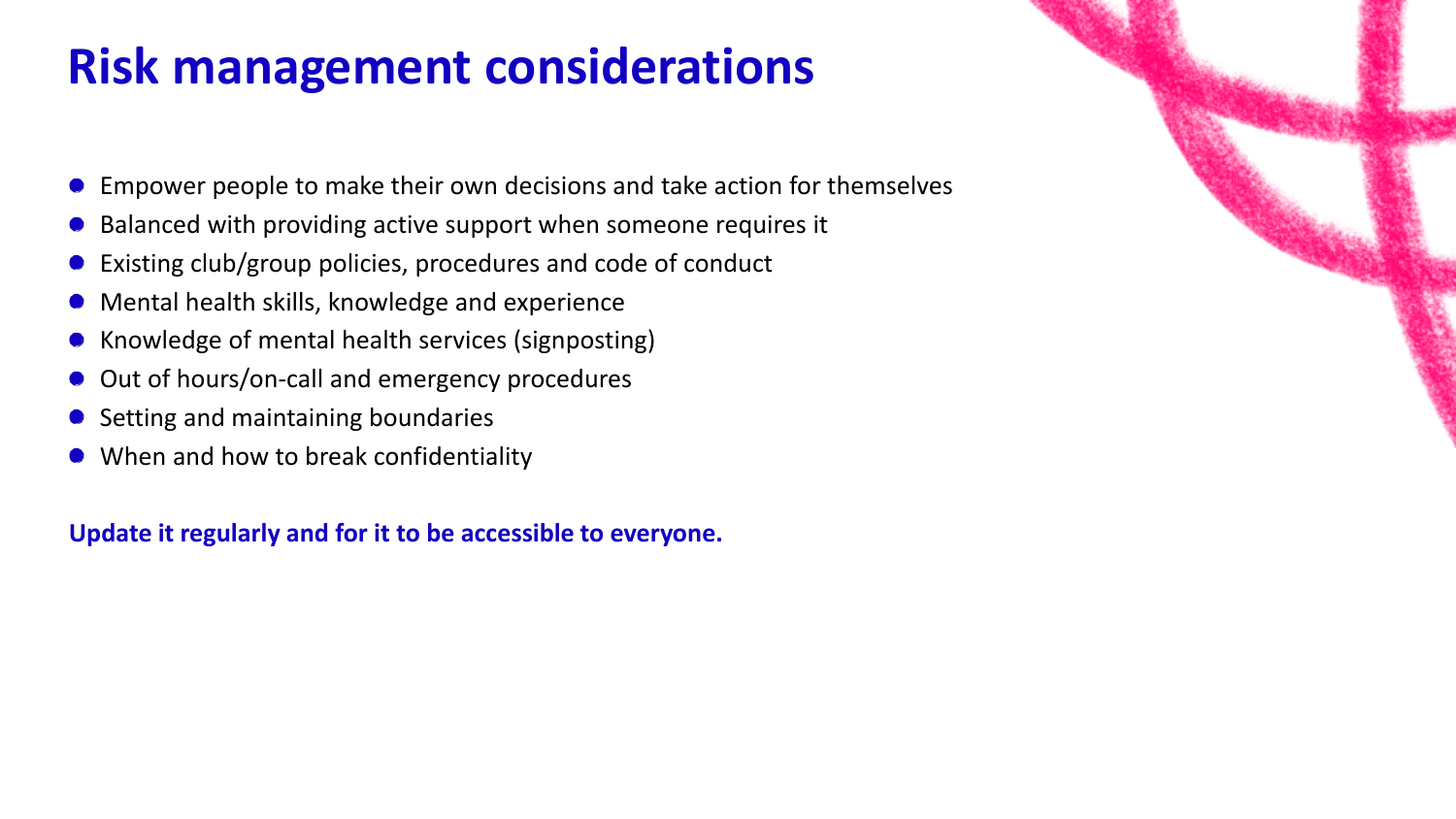#### **Risk management considerations**

- Empower people to make their own decisions and take action for themselves
- Balanced with providing active support when someone requires it
- Existing club/group policies, procedures and code of conduct
- Mental health skills, knowledge and experience
- Knowledge of mental health services (signposting)  $\bullet$
- Out of hours/on-call and emergency procedures  $\bullet$
- Setting and maintaining boundaries
- When and how to break confidentiality

**Update it regularly and for it to be accessible to everyone.**

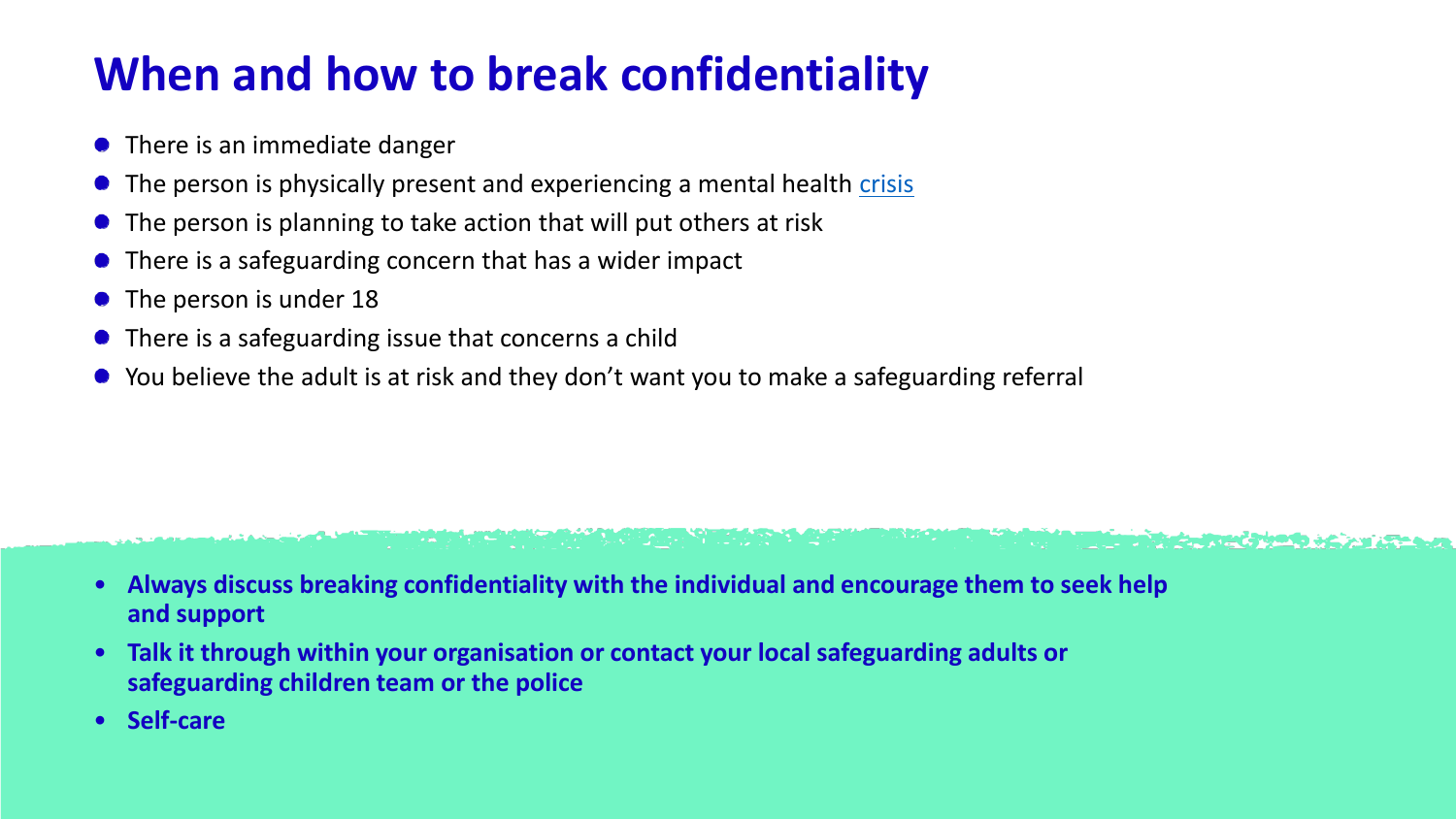#### **When and how to break confidentiality**

- There is an immediate danger
- The person is physically present and experiencing a mental health [crisis](https://www.mind.org.uk/information-support/guides-to-support-and-services/crisis-services/)
- The person is planning to take action that will put others at risk
- There is a safeguarding concern that has a wider impact
- The person is under 18
- There is a safeguarding issue that concerns a child
- You believe the adult is at risk and they don't want you to make a safeguarding referral

#### • **Always discuss breaking confidentiality with the individual and encourage them to seek help and support**

aalaan meessa ka mid ah dhadka ka siir ah dhadka ah dhama ka mid ah dhadka magaalay iyo iyo oo ah ka mid ah

- **Talk it through within your organisation or contact your local safeguarding adults or safeguarding children team or the police**
- **Self-care**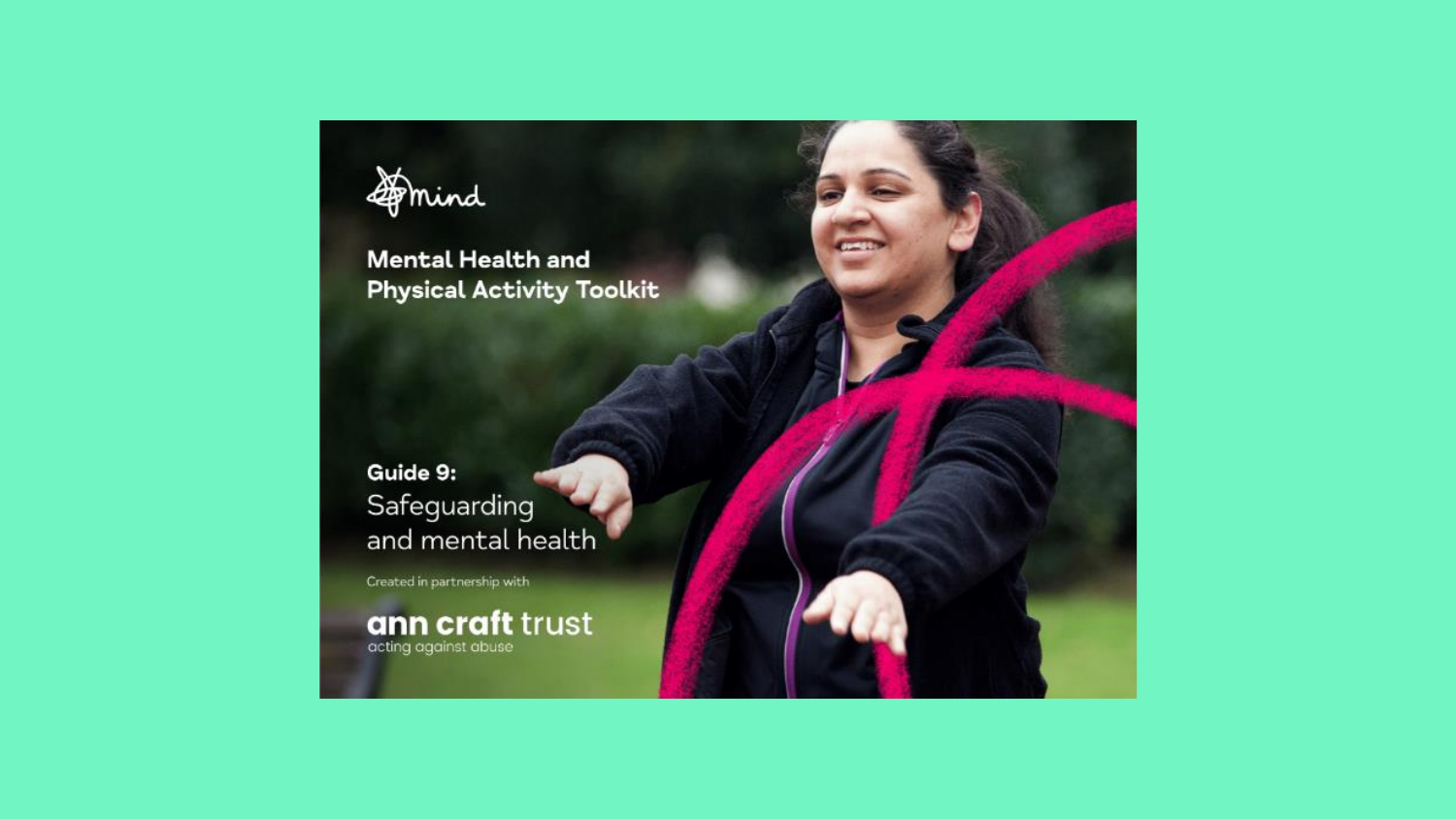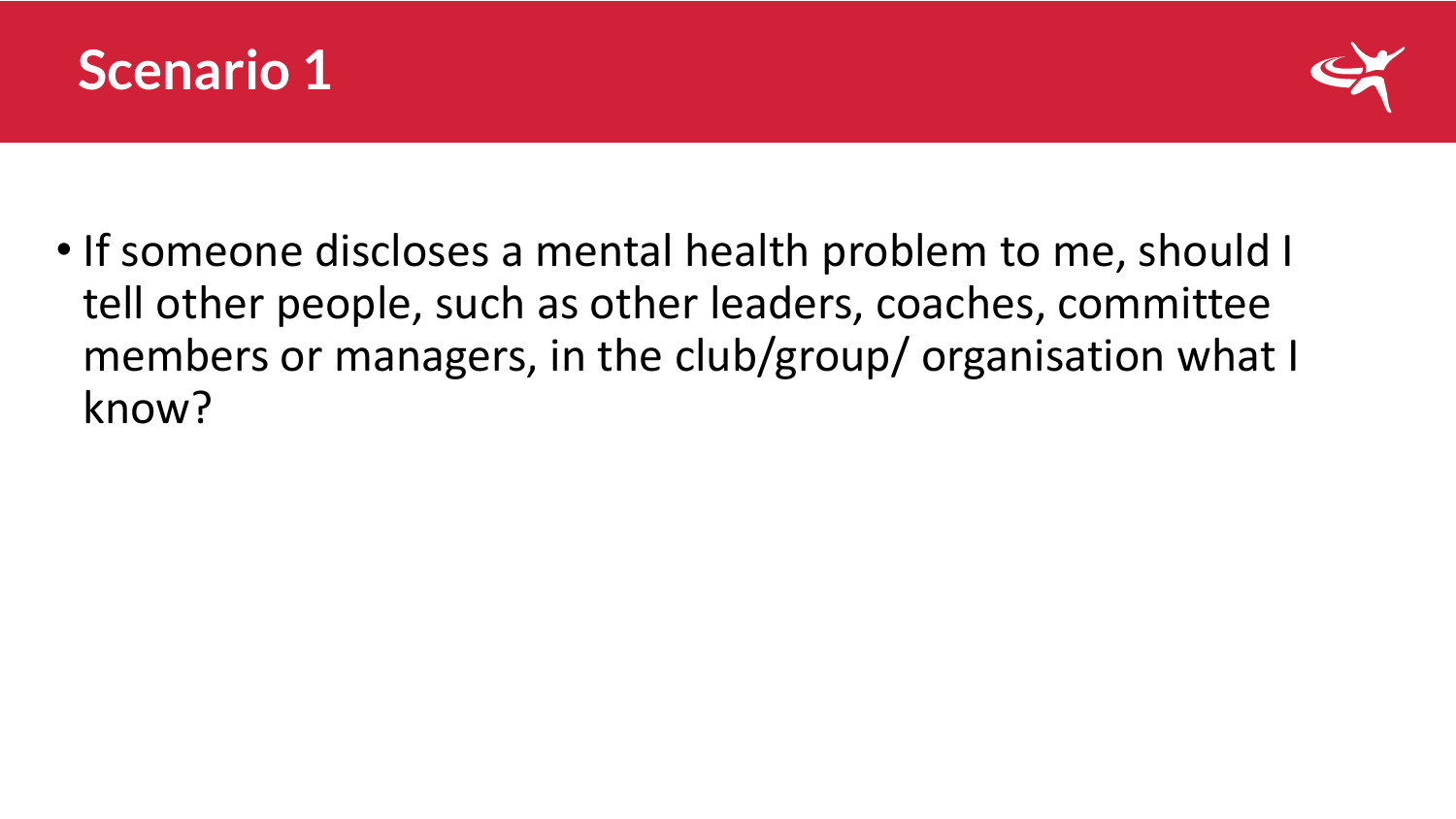



• If someone discloses a mental health problem to me, should I tell other people, such as other leaders, coaches, committee members or managers, in the club/group/ organisation what I know?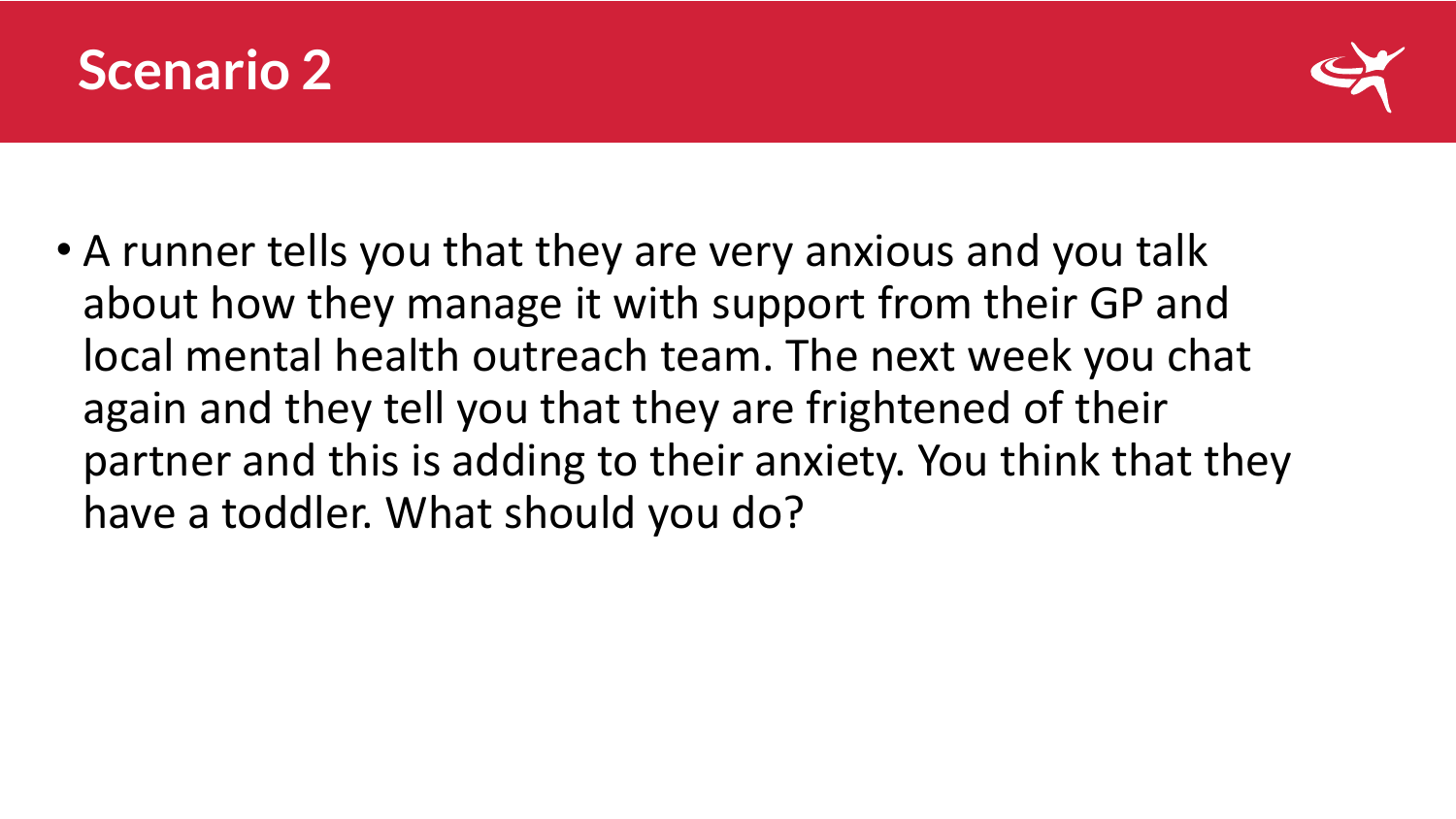



• A runner tells you that they are very anxious and you talk about how they manage it with support from their GP and local mental health outreach team. The next week you chat again and they tell you that they are frightened of their partner and this is adding to their anxiety. You think that they have a toddler. What should you do?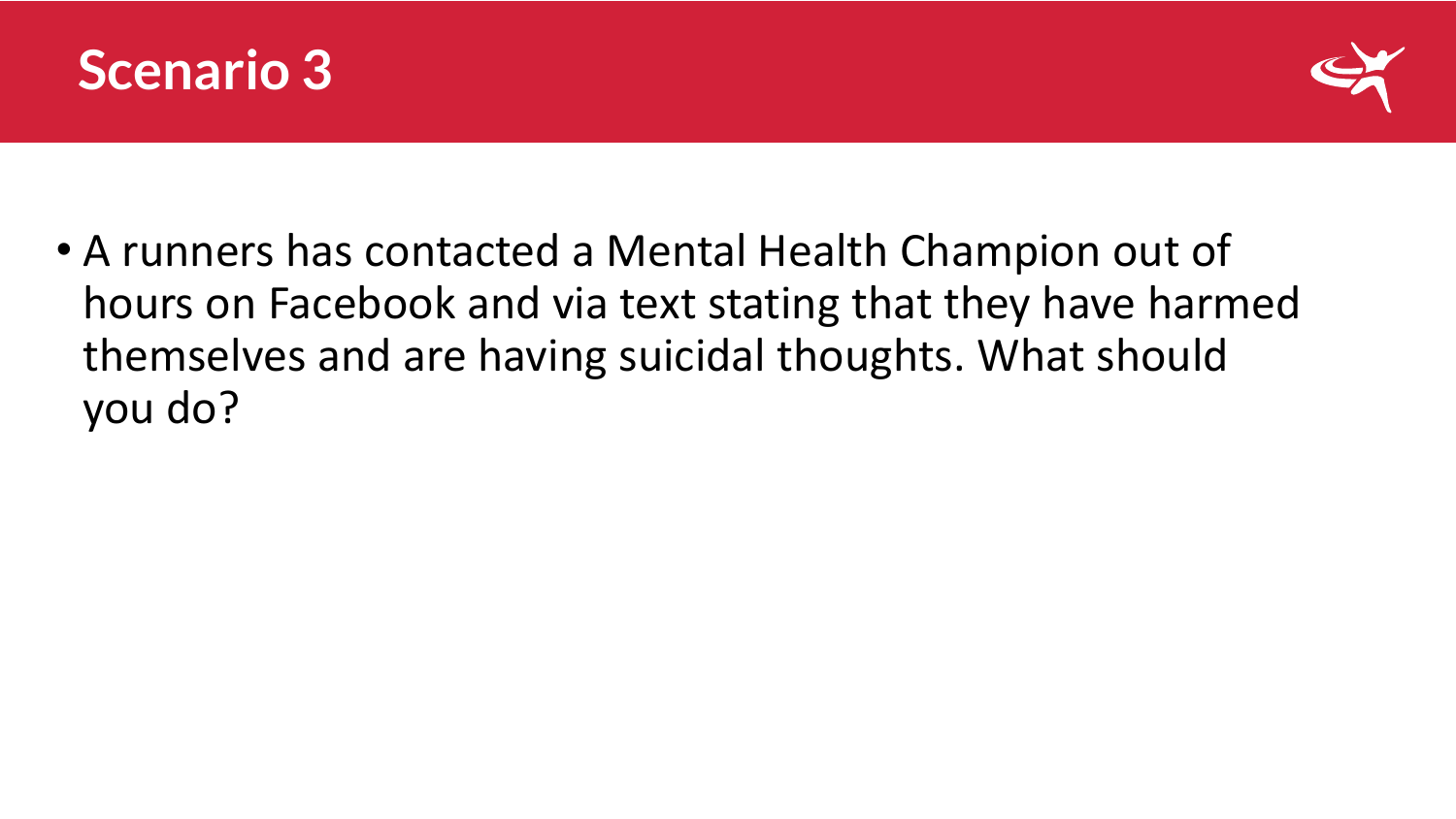



• A runners has contacted a Mental Health Champion out of hours on Facebook and via text stating that they have harmed themselves and are having suicidal thoughts. What should you do?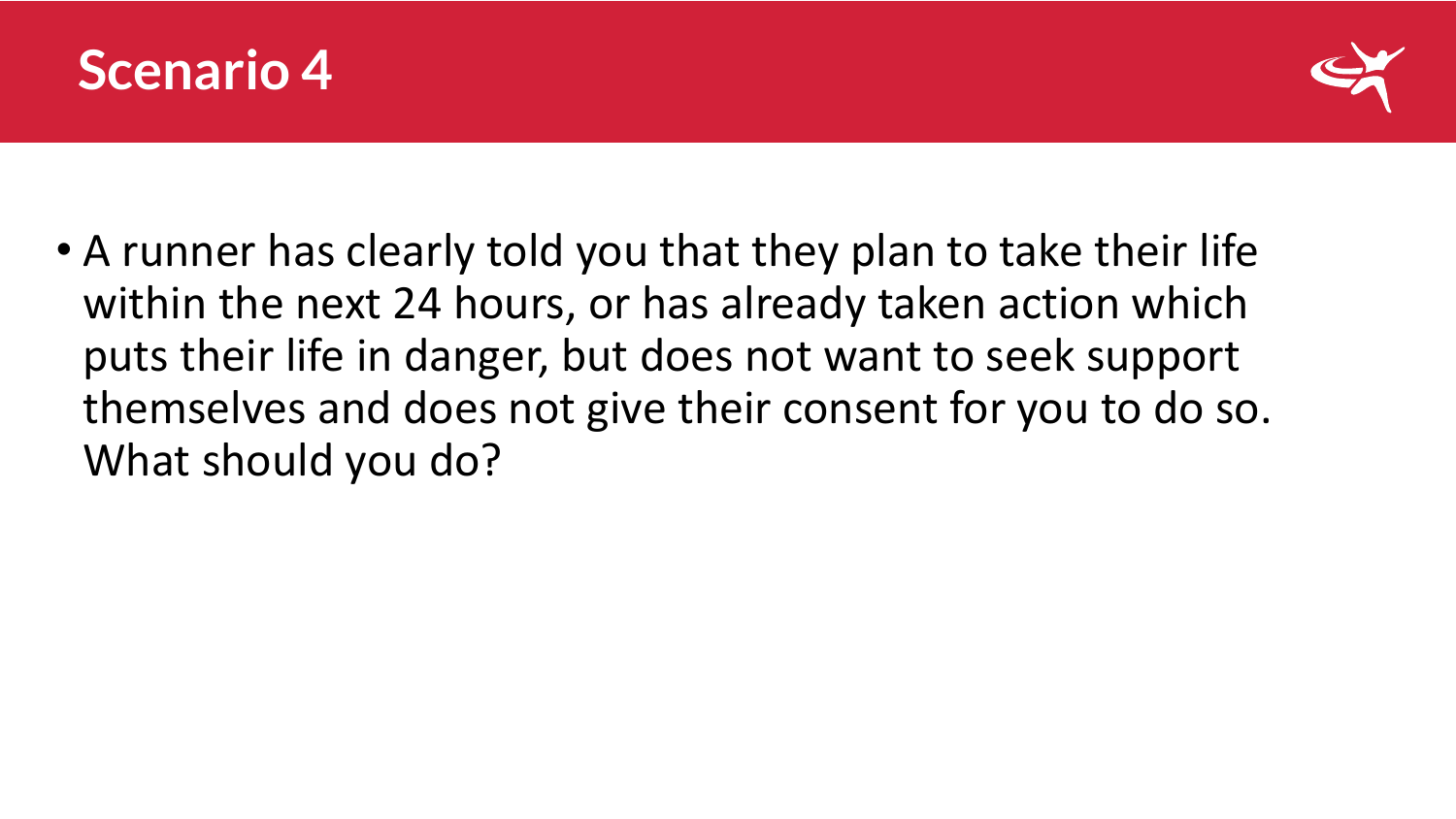



• A runner has clearly told you that they plan to take their life within the next 24 hours, or has already taken action which puts their life in danger, but does not want to seek support themselves and does not give their consent for you to do so. What should you do?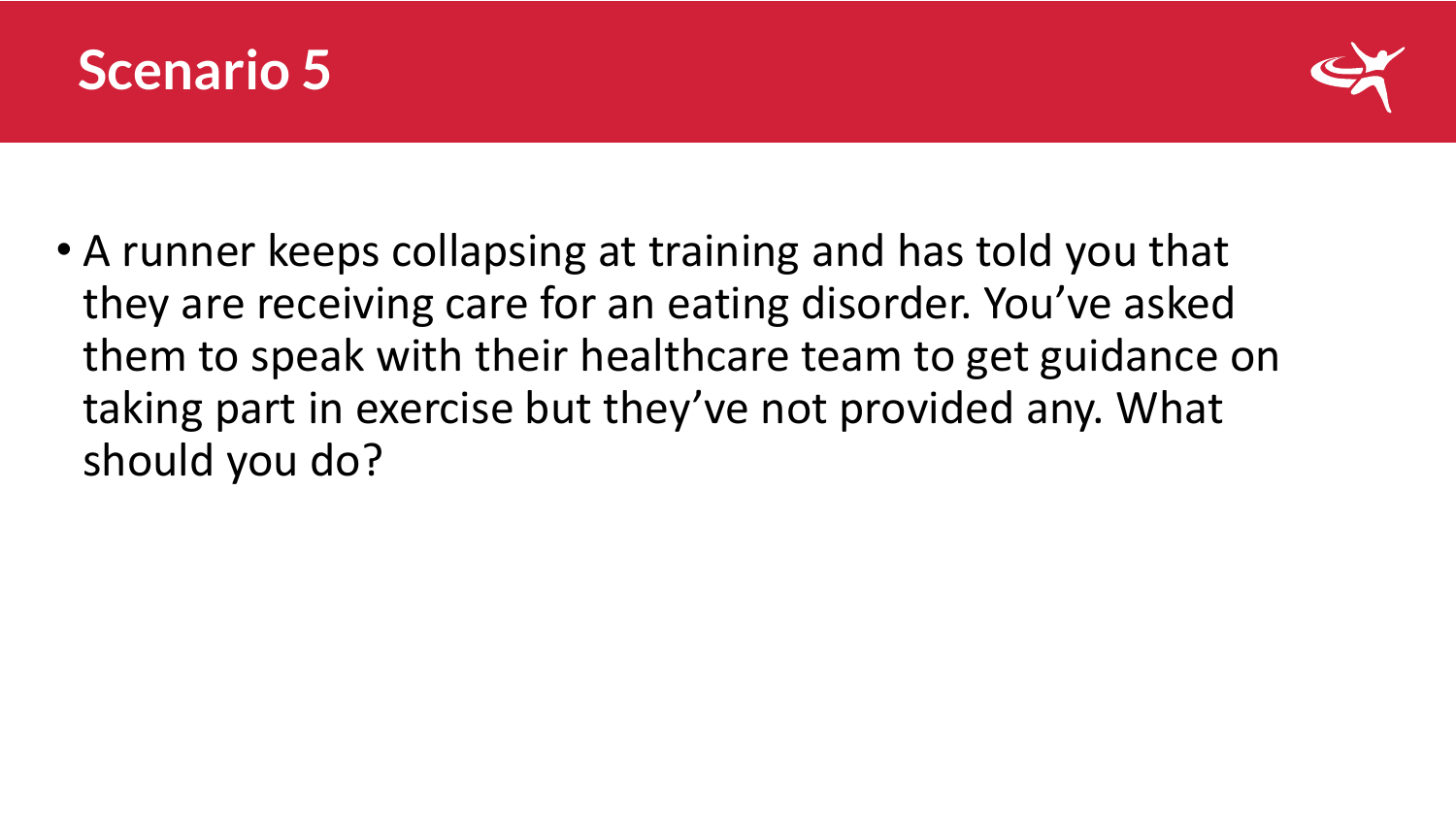



• A runner keeps collapsing at training and has told you that they are receiving care for an eating disorder. You've asked them to speak with their healthcare team to get guidance on taking part in exercise but they've not provided any. What should you do?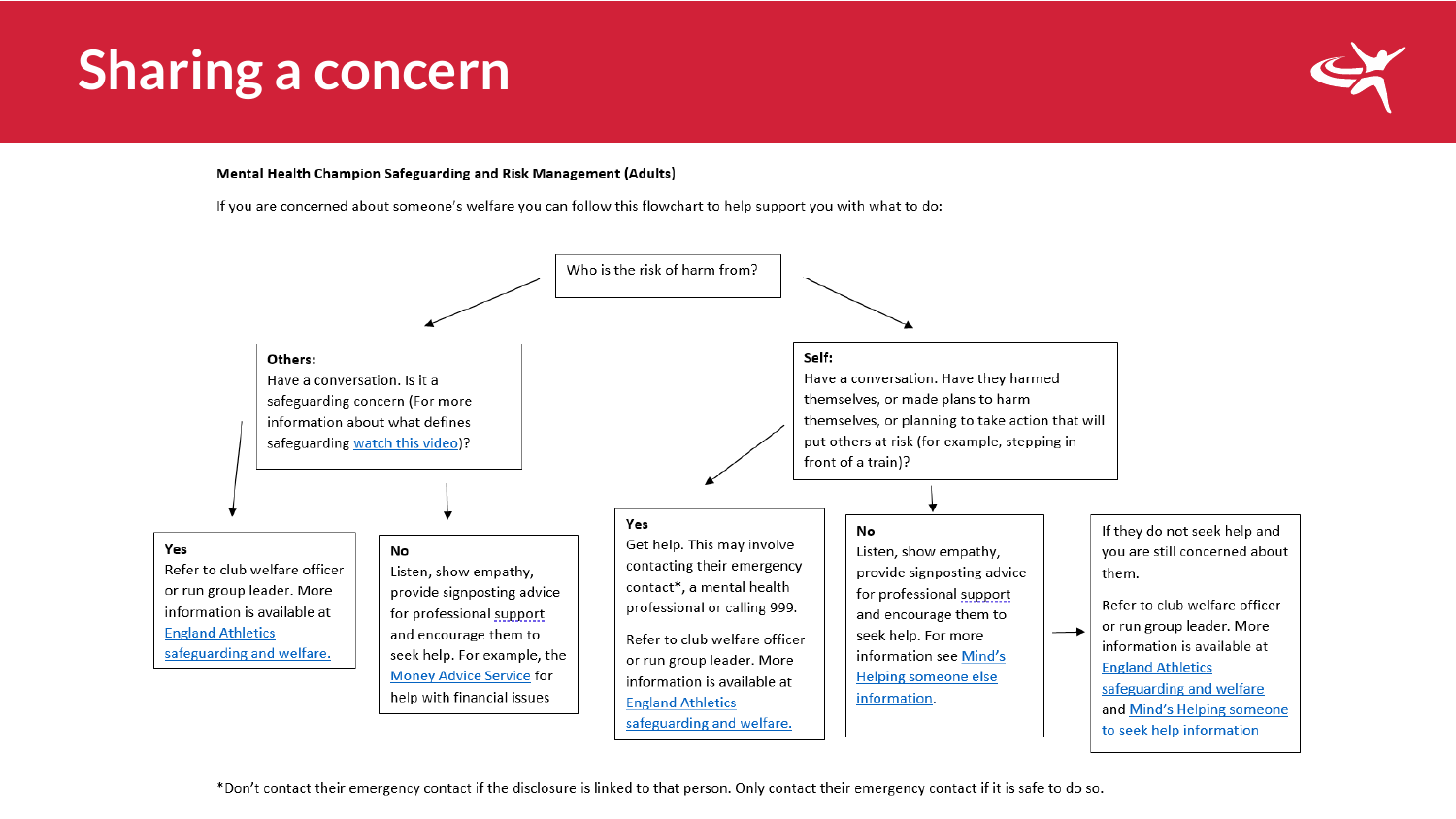## **Sharing a concern**



#### Mental Health Champion Safeguarding and Risk Management (Adults)

If you are concerned about someone's welfare you can follow this flowchart to help support you with what to do:



\*Don't contact their emergency contact if the disclosure is linked to that person. Only contact their emergency contact if it is safe to do so.